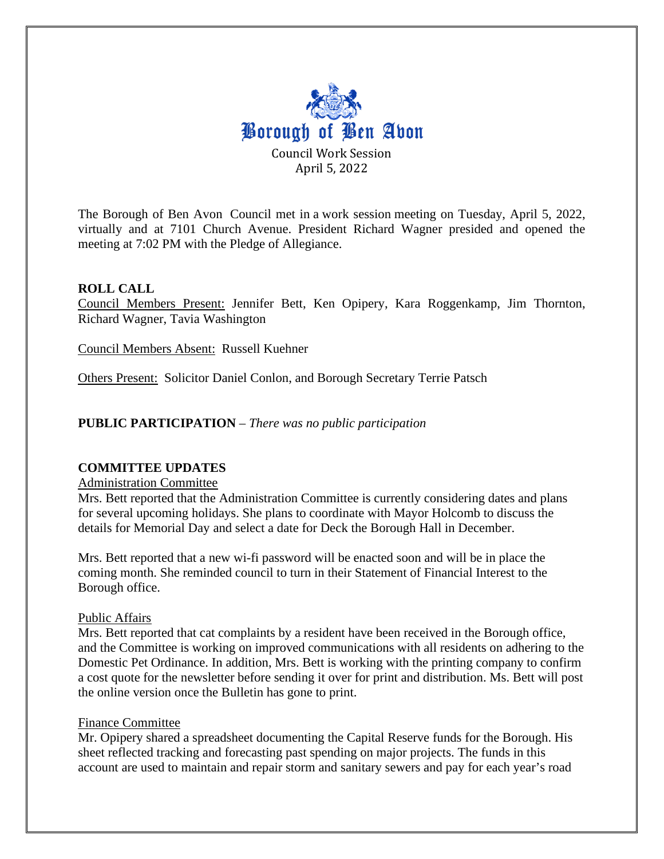

The Borough of Ben Avon Council met in a work session meeting on Tuesday, April 5, 2022, virtually and at 7101 Church Avenue. President Richard Wagner presided and opened the meeting at 7:02 PM with the Pledge of Allegiance.

#### **ROLL CALL**

Council Members Present: Jennifer Bett, Ken Opipery, Kara Roggenkamp, Jim Thornton, Richard Wagner, Tavia Washington

Council Members Absent: Russell Kuehner

Others Present: Solicitor Daniel Conlon, and Borough Secretary Terrie Patsch

**PUBLIC PARTICIPATION** – *There was no public participation*

#### **COMMITTEE UPDATES**

Administration Committee

Mrs. Bett reported that the Administration Committee is currently considering dates and plans for several upcoming holidays. She plans to coordinate with Mayor Holcomb to discuss the details for Memorial Day and select a date for Deck the Borough Hall in December.

Mrs. Bett reported that a new wi-fi password will be enacted soon and will be in place the coming month. She reminded council to turn in their Statement of Financial Interest to the Borough office.

#### Public Affairs

Mrs. Bett reported that cat complaints by a resident have been received in the Borough office, and the Committee is working on improved communications with all residents on adhering to the Domestic Pet Ordinance. In addition, Mrs. Bett is working with the printing company to confirm a cost quote for the newsletter before sending it over for print and distribution. Ms. Bett will post the online version once the Bulletin has gone to print.

#### Finance Committee

Mr. Opipery shared a spreadsheet documenting the Capital Reserve funds for the Borough. His sheet reflected tracking and forecasting past spending on major projects. The funds in this account are used to maintain and repair storm and sanitary sewers and pay for each year's road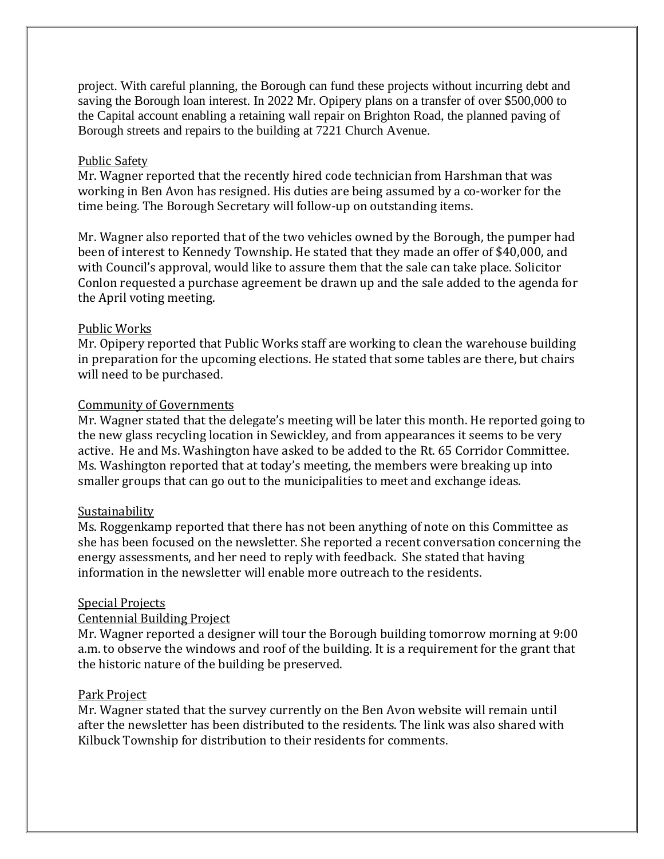project. With careful planning, the Borough can fund these projects without incurring debt and saving the Borough loan interest. In 2022 Mr. Opipery plans on a transfer of over \$500,000 to the Capital account enabling a retaining wall repair on Brighton Road, the planned paving of Borough streets and repairs to the building at 7221 Church Avenue.

#### Public Safety

Mr. Wagner reported that the recently hired code technician from Harshman that was working in Ben Avon has resigned. His duties are being assumed by a co-worker for the time being. The Borough Secretary will follow-up on outstanding items.

Mr. Wagner also reported that of the two vehicles owned by the Borough, the pumper had been of interest to Kennedy Township. He stated that they made an offer of \$40,000, and with Council's approval, would like to assure them that the sale can take place. Solicitor Conlon requested a purchase agreement be drawn up and the sale added to the agenda for the April voting meeting.

#### Public Works

Mr. Opipery reported that Public Works staff are working to clean the warehouse building in preparation for the upcoming elections. He stated that some tables are there, but chairs will need to be purchased.

# Community of Governments

Mr. Wagner stated that the delegate's meeting will be later this month. He reported going to the new glass recycling location in Sewickley, and from appearances it seems to be very active. He and Ms. Washington have asked to be added to the Rt. 65 Corridor Committee. Ms. Washington reported that at today's meeting, the members were breaking up into smaller groups that can go out to the municipalities to meet and exchange ideas.

# Sustainability

Ms. Roggenkamp reported that there has not been anything of note on this Committee as she has been focused on the newsletter. She reported a recent conversation concerning the energy assessments, and her need to reply with feedback. She stated that having information in the newsletter will enable more outreach to the residents.

# Special Projects

# Centennial Building Project

Mr. Wagner reported a designer will tour the Borough building tomorrow morning at 9:00 a.m. to observe the windows and roof of the building. It is a requirement for the grant that the historic nature of the building be preserved.

# Park Project

Mr. Wagner stated that the survey currently on the Ben Avon website will remain until after the newsletter has been distributed to the residents. The link was also shared with Kilbuck Township for distribution to their residents for comments.